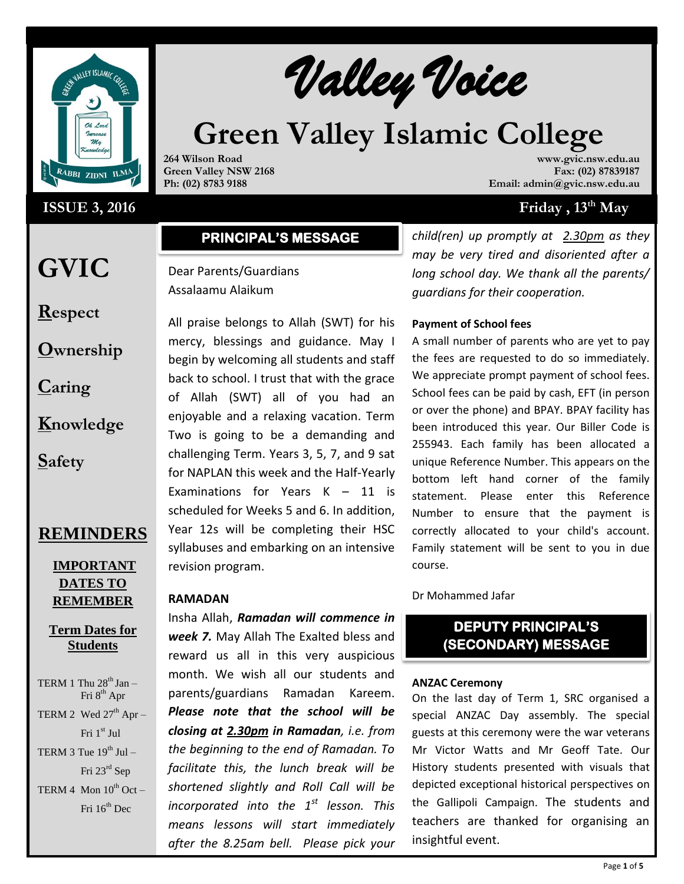

# **ISSUE 3, 2016**

**Valley Voice** 

# **Green Valley Islamic College**

**264 Wilson Road Green Valley NSW 2168 Ph: (02) 8783 9188**

**www.gvic.nsw.edu.au Fax: (02) 87839187 Email: admin@gvic.nsw.edu.au**

# **Friday**,  $13^{\text{th}}$  **May**

# **PRINCIPAL'S MESSAGE**

# Dear Parents/Guardians Assalaamu Alaikum

All praise belongs to Allah (SWT) for his mercy, blessings and guidance. May I begin by welcoming all students and staff back to school. I trust that with the grace of Allah (SWT) all of you had an enjoyable and a relaxing vacation. Term Two is going to be a demanding and challenging Term. Years 3, 5, 7, and 9 sat for NAPLAN this week and the Half-Yearly Examinations for Years K – 11 is scheduled for Weeks 5 and 6. In addition, Year 12s will be completing their HSC syllabuses and embarking on an intensive revision program.

## **RAMADAN**

Insha Allah, *Ramadan will commence in week 7.* May Allah The Exalted bless and reward us all in this very auspicious month. We wish all our students and parents/guardians Ramadan Kareem. *Please note that the school will be closing at 2.30pm in Ramadan, i.e. from the beginning to the end of Ramadan. To facilitate this, the lunch break will be shortened slightly and Roll Call will be incorporated into the 1st lesson. This means lessons will start immediately after the 8.25am bell. Please pick your* 

*child(ren) up promptly at 2.30pm as they may be very tired and disoriented after a long school day. We thank all the parents/ guardians for their cooperation.*

## **Payment of School fees**

A small number of parents who are yet to pay the fees are requested to do so immediately. We appreciate prompt payment of school fees. School fees can be paid by cash, EFT (in person or over the phone) and BPAY. BPAY facility has been introduced this year. Our Biller Code is 255943. Each family has been allocated a unique Reference Number. This appears on the bottom left hand corner of the family statement. Please enter this Reference Number to ensure that the payment is correctly allocated to your child's account. Family statement will be sent to you in due course.

Dr Mohammed Jafar

# **DEPUTY PRINCIPAL'S (SECONDARY) MESSAGE**

#### **ANZAC Ceremony**

On the last day of Term 1, SRC organised a special ANZAC Day assembly. The special guests at this ceremony were the war veterans Mr Victor Watts and Mr Geoff Tate. Our History students presented with visuals that depicted exceptional historical perspectives on the Gallipoli Campaign. The students and teachers are thanked for organising an insightful event.

# **GVIC**

**Respect**

**Ownership**

**Caring**

**Knowledge**

**Safety**

# **REMINDERS**

# **IMPORTANT DATES TO REMEMBER**

# **Term Dates for Students**

TERM 1 Thu  $28<sup>th</sup>$  Jan – Fri 8<sup>th</sup> Apr TERM 2 Wed  $27<sup>th</sup>$  Apr – Fri 1st Jul TERM 3 Tue  $19^{th}$  Jul – Fri 23rd Sep

TERM 4 Mon  $10^{th}$  Oct – Fri  $16^{th}$  Dec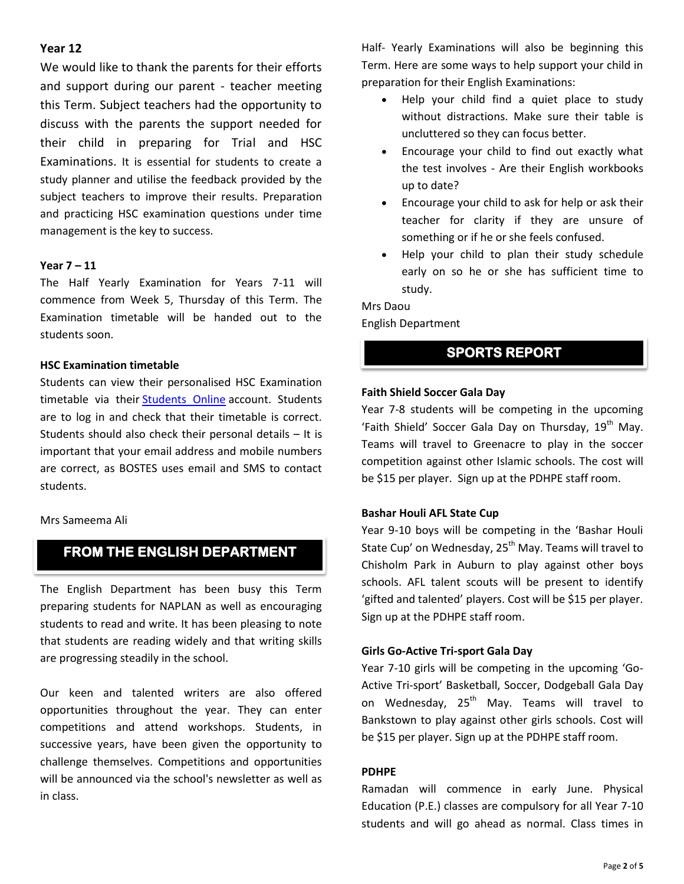# **Year 12**

We would like to thank the parents for their efforts and support during our parent - teacher meeting this Term. Subject teachers had the opportunity to discuss with the parents the support needed for their child in preparing for Trial and HSC Examinations. It is essential for students to create a study planner and utilise the feedback provided by the subject teachers to improve their results. Preparation and practicing HSC examination questions under time management is the key to success.

## **Year 7 – 11**

The Half Yearly Examination for Years 7-11 will commence from Week 5, Thursday of this Term. The Examination timetable will be handed out to the students soon.

#### **HSC Examination timetable**

Students can view their personalised HSC Examination timetable via their [Students Online](http://communications.boardofstudies.nsw.edu.au/link.php?M=1753627&N=1144&L=283&F=H) account. Students are to log in and check that their timetable is correct. Students should also check their personal details – It is important that your email address and mobile numbers are correct, as BOSTES uses email and SMS to contact students.

#### Mrs Sameema Ali

# **FROM THE ENGLISH DEPARTMENT**

The English Department has been busy this Term preparing students for NAPLAN as well as encouraging students to read and write. It has been pleasing to note that students are reading widely and that writing skills are progressing steadily in the school.

Our keen and talented writers are also offered opportunities throughout the year. They can enter competitions and attend workshops. Students, in successive years, have been given the opportunity to challenge themselves. Competitions and opportunities will be announced via the school's newsletter as well as in class.

Half- Yearly Examinations will also be beginning this Term. Here are some ways to help support your child in preparation for their English Examinations:

- Help your child find a quiet place to study without distractions. Make sure their table is uncluttered so they can focus better.
- Encourage your child to find out exactly what the test involves - Are their English workbooks up to date?
- Encourage your child to ask for help or ask their teacher for clarity if they are unsure of something or if he or she feels confused.
- Help your child to plan their study schedule early on so he or she has sufficient time to study.

# Mrs Daou English Department

# **SPORTS REPORT**

# **Faith Shield Soccer Gala Day**

Year 7-8 students will be competing in the upcoming 'Faith Shield' Soccer Gala Day on Thursday, 19<sup>th</sup> May. Teams will travel to Greenacre to play in the soccer competition against other Islamic schools. The cost will be \$15 per player. Sign up at the PDHPE staff room.

# **Bashar Houli AFL State Cup**

Year 9-10 boys will be competing in the 'Bashar Houli State Cup' on Wednesday, 25<sup>th</sup> May. Teams will travel to Chisholm Park in Auburn to play against other boys schools. AFL talent scouts will be present to identify 'gifted and talented' players. Cost will be \$15 per player. Sign up at the PDHPE staff room.

# **Girls Go-Active Tri-sport Gala Day**

Year 7-10 girls will be competing in the upcoming 'Go-Active Tri-sport' Basketball, Soccer, Dodgeball Gala Day on Wednesday, 25<sup>th</sup> May. Teams will travel to Bankstown to play against other girls schools. Cost will be \$15 per player. Sign up at the PDHPE staff room.

#### **PDHPE**

Ramadan will commence in early June. Physical Education (P.E.) classes are compulsory for all Year 7-10 students and will go ahead as normal. Class times in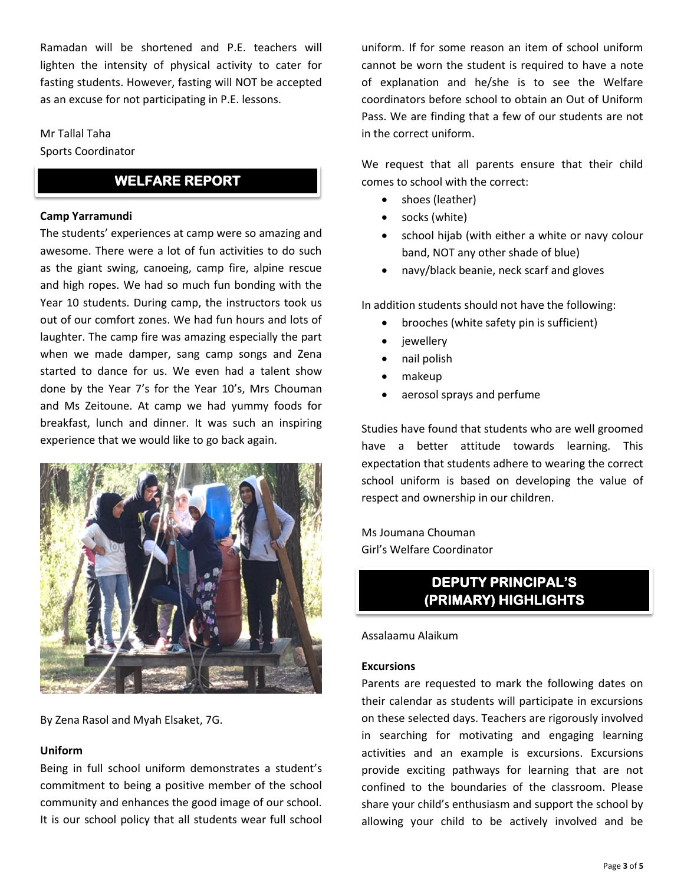Ramadan will be shortened and P.E. teachers will lighten the intensity of physical activity to cater for fasting students. However, fasting will NOT be accepted as an excuse for not participating in P.E. lessons.

# Mr Tallal Taha Sports Coordinator

# **WELFARE REPORT**

#### **Camp Yarramundi**

The students' experiences at camp were so amazing and awesome. There were a lot of fun activities to do such as the giant swing, canoeing, camp fire, alpine rescue and high ropes. We had so much fun bonding with the Year 10 students. During camp, the instructors took us out of our comfort zones. We had fun hours and lots of laughter. The camp fire was amazing especially the part when we made damper, sang camp songs and Zena started to dance for us. We even had a talent show done by the Year 7's for the Year 10's, Mrs Chouman and Ms Zeitoune. At camp we had yummy foods for breakfast, lunch and dinner. It was such an inspiring experience that we would like to go back again.



By Zena Rasol and Myah Elsaket, 7G.

#### **Uniform**

Being in full school uniform demonstrates a student's commitment to being a positive member of the school community and enhances the good image of our school. It is our school policy that all students wear full school

uniform. If for some reason an item of school uniform cannot be worn the student is required to have a note of explanation and he/she is to see the Welfare coordinators before school to obtain an Out of Uniform Pass. We are finding that a few of our students are not in the correct uniform.

We request that all parents ensure that their child comes to school with the correct:

- shoes (leather)
- socks (white)
- school hijab (with either a white or navy colour band, NOT any other shade of blue)
- navy/black beanie, neck scarf and gloves

In addition students should not have the following:

- brooches (white safety pin is sufficient)
- jewellery
- nail polish
- makeup
- aerosol sprays and perfume

Studies have found that students who are well groomed have a better attitude towards learning. This expectation that students adhere to wearing the correct school uniform is based on developing the value of respect and ownership in our children.

Ms Joumana Chouman Girl's Welfare Coordinator

# **DEPUTY PRINCIPAL'S (PRIMARY) HIGHLIGHTS**

Assalaamu Alaikum

## **Excursions**

Parents are requested to mark the following dates on their calendar as students will participate in excursions on these selected days. Teachers are rigorously involved in searching for motivating and engaging learning activities and an example is excursions. Excursions provide exciting pathways for learning that are not confined to the boundaries of the classroom. Please share your child's enthusiasm and support the school by allowing your child to be actively involved and be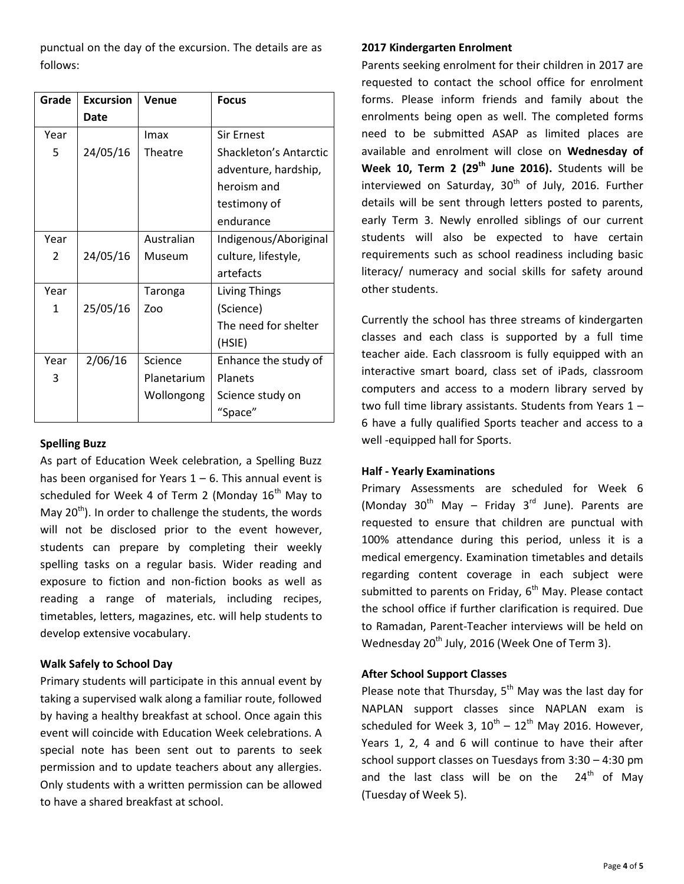punctual on the day of the excursion. The details are as follows:

| Grade | <b>Excursion</b> | Venue       | <b>Focus</b>           |
|-------|------------------|-------------|------------------------|
|       | Date             |             |                        |
| Year  |                  | Imax        | <b>Sir Ernest</b>      |
| 5     | 24/05/16         | Theatre     | Shackleton's Antarctic |
|       |                  |             | adventure, hardship,   |
|       |                  |             | heroism and            |
|       |                  |             | testimony of           |
|       |                  |             | endurance              |
| Year  |                  | Australian  | Indigenous/Aboriginal  |
| 2     | 24/05/16         | Museum      | culture, lifestyle,    |
|       |                  |             | artefacts              |
| Year  |                  | Taronga     | <b>Living Things</b>   |
| 1     | 25/05/16         | Zoo         | (Science)              |
|       |                  |             | The need for shelter   |
|       |                  |             | (HSIE)                 |
| Year  | 2/06/16          | Science     | Enhance the study of   |
| 3     |                  | Planetarium | Planets                |
|       |                  | Wollongong  | Science study on       |
|       |                  |             | "Space"                |

## **Spelling Buzz**

As part of Education Week celebration, a Spelling Buzz has been organised for Years  $1 - 6$ . This annual event is scheduled for Week 4 of Term 2 (Monday  $16<sup>th</sup>$  May to May  $20<sup>th</sup>$ ). In order to challenge the students, the words will not be disclosed prior to the event however, students can prepare by completing their weekly spelling tasks on a regular basis. Wider reading and exposure to fiction and non-fiction books as well as reading a range of materials, including recipes, timetables, letters, magazines, etc. will help students to develop extensive vocabulary.

## **Walk Safely to School Day**

Primary students will participate in this annual event by taking a supervised walk along a familiar route, followed by having a healthy breakfast at school. Once again this event will coincide with Education Week celebrations. A special note has been sent out to parents to seek permission and to update teachers about any allergies. Only students with a written permission can be allowed to have a shared breakfast at school.

## **2017 Kindergarten Enrolment**

Parents seeking enrolment for their children in 2017 are requested to contact the school office for enrolment forms. Please inform friends and family about the enrolments being open as well. The completed forms need to be submitted ASAP as limited places are available and enrolment will close on **Wednesday of Week 10, Term 2 (29th June 2016).** Students will be interviewed on Saturday,  $30<sup>th</sup>$  of July, 2016. Further details will be sent through letters posted to parents, early Term 3. Newly enrolled siblings of our current students will also be expected to have certain requirements such as school readiness including basic literacy/ numeracy and social skills for safety around other students.

Currently the school has three streams of kindergarten classes and each class is supported by a full time teacher aide. Each classroom is fully equipped with an interactive smart board, class set of iPads, classroom computers and access to a modern library served by two full time library assistants. Students from Years 1 – 6 have a fully qualified Sports teacher and access to a well -equipped hall for Sports.

## **Half - Yearly Examinations**

Primary Assessments are scheduled for Week 6 (Monday  $30^{th}$  May – Friday  $3^{rd}$  June). Parents are requested to ensure that children are punctual with 100% attendance during this period, unless it is a medical emergency. Examination timetables and details regarding content coverage in each subject were submitted to parents on Friday, 6<sup>th</sup> May. Please contact the school office if further clarification is required. Due to Ramadan, Parent-Teacher interviews will be held on Wednesday  $20^{th}$  July, 2016 (Week One of Term 3).

## **After School Support Classes**

Please note that Thursday, 5<sup>th</sup> May was the last day for NAPLAN support classes since NAPLAN exam is scheduled for Week 3,  $10^{\text{th}} - 12^{\text{th}}$  May 2016. However, Years 1, 2, 4 and 6 will continue to have their after school support classes on Tuesdays from 3:30 – 4:30 pm and the last class will be on the  $24<sup>th</sup>$  of May (Tuesday of Week 5).